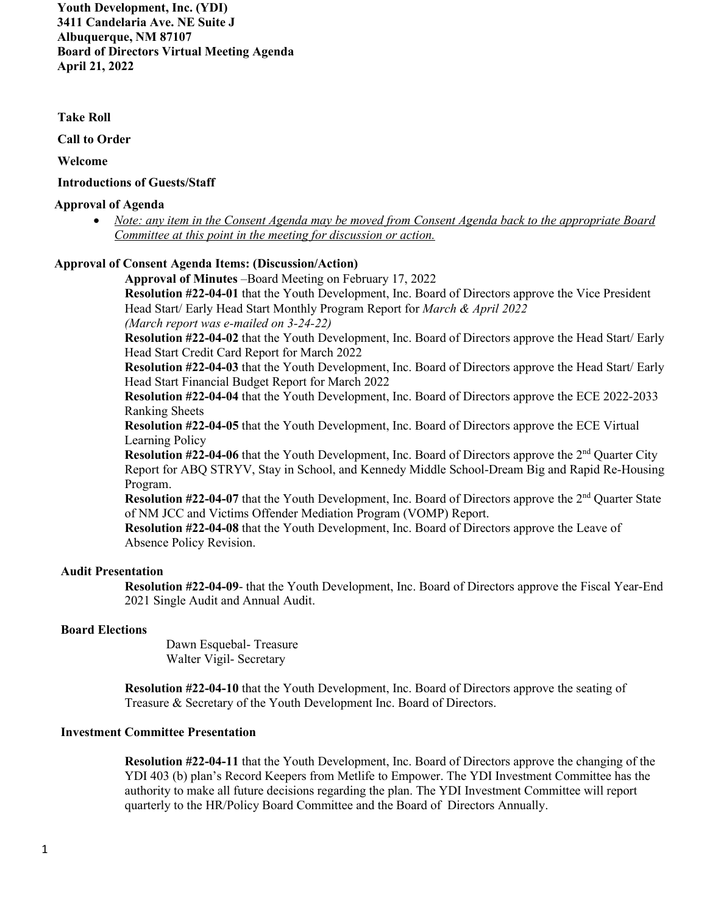**Youth Development, Inc. (YDI) 3411 Candelaria Ave. NE Suite J Albuquerque, NM 87107 Board of Directors Virtual Meeting Agenda April 21, 2022**

#### **Take Roll**

 **Call to Order**

 **Welcome**

#### **Introductions of Guests/Staff**

#### **Approval of Agenda**

• *Note: any item in the Consent Agenda may be moved from Consent Agenda back to the appropriate Board Committee at this point in the meeting for discussion or action.* 

## **Approval of Consent Agenda Items: (Discussion/Action)**

**Approval of Minutes** –Board Meeting on February 17, 2022 **Resolution #22-04-01** that the Youth Development, Inc. Board of Directors approve the Vice President Head Start/ Early Head Start Monthly Program Report for *March & April 2022 (March report was e-mailed on 3-24-22)* 

**Resolution #22-04-02** that the Youth Development, Inc. Board of Directors approve the Head Start/ Early Head Start Credit Card Report for March 2022

**Resolution #22-04-03** that the Youth Development, Inc. Board of Directors approve the Head Start/ Early Head Start Financial Budget Report for March 2022

**Resolution #22-04-04** that the Youth Development, Inc. Board of Directors approve the ECE 2022-2033 Ranking Sheets

**Resolution #22-04-05** that the Youth Development, Inc. Board of Directors approve the ECE Virtual Learning Policy

**Resolution #22-04-06** that the Youth Development, Inc. Board of Directors approve the 2<sup>nd</sup> Quarter City Report for ABQ STRYV, Stay in School, and Kennedy Middle School-Dream Big and Rapid Re-Housing Program.

**Resolution #22-04-07** that the Youth Development, Inc. Board of Directors approve the 2<sup>nd</sup> Quarter State of NM JCC and Victims Offender Mediation Program (VOMP) Report.

**Resolution #22-04-08** that the Youth Development, Inc. Board of Directors approve the Leave of Absence Policy Revision.

### **Audit Presentation**

**Resolution #22-04-09**- that the Youth Development, Inc. Board of Directors approve the Fiscal Year-End 2021 Single Audit and Annual Audit.

### **Board Elections**

Dawn Esquebal- Treasure Walter Vigil- Secretary

**Resolution #22-04-10** that the Youth Development, Inc. Board of Directors approve the seating of Treasure & Secretary of the Youth Development Inc. Board of Directors.

### **Investment Committee Presentation**

**Resolution #22-04-11** that the Youth Development, Inc. Board of Directors approve the changing of the YDI 403 (b) plan's Record Keepers from Metlife to Empower. The YDI Investment Committee has the authority to make all future decisions regarding the plan. The YDI Investment Committee will report quarterly to the HR/Policy Board Committee and the Board of Directors Annually.